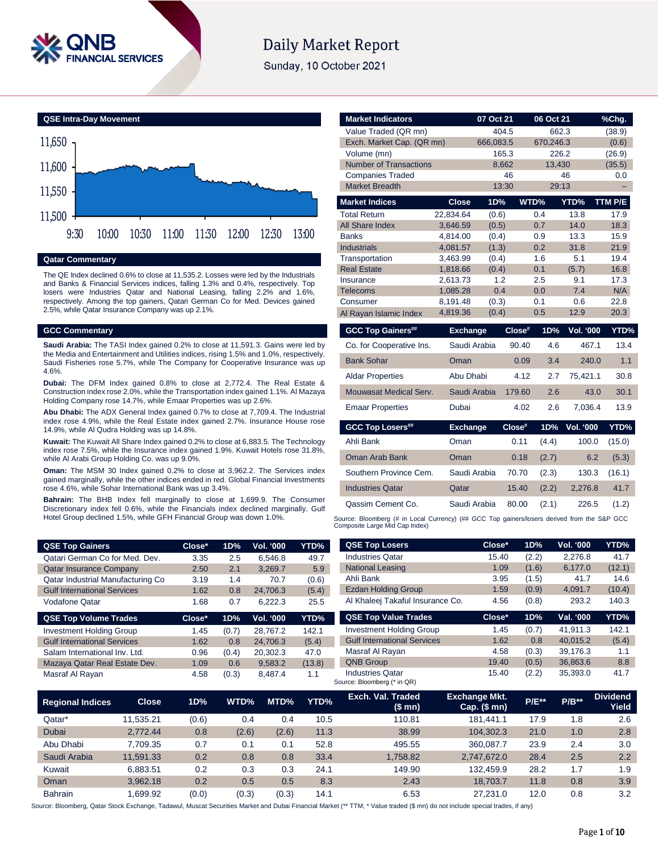

# **Daily Market Report**

Sunday, 10 October 2021



# **Qatar Commentary**

The QE Index declined 0.6% to close at 11,535.2. Losses were led by the Industrials and Banks & Financial Services indices, falling 1.3% and 0.4%, respectively. Top losers were Industries Qatar and National Leasing, falling 2.2% and 1.6%, respectively. Among the top gainers, Qatari German Co for Med. Devices gained 2.5%, while Qatar Insurance Company was up 2.1%.

#### **GCC Commentary**

**Saudi Arabia:** The TASI Index gained 0.2% to close at 11,591.3. Gains were led by the Media and Entertainment and Utilities indices, rising 1.5% and 1.0%, respectively. Saudi Fisheries rose 5.7%, while The Company for Cooperative Insurance was up 4.6%.

**Dubai:** The DFM Index gained 0.8% to close at 2,772.4. The Real Estate & Construction index rose 2.0%, while the Transportation index gained 1.1%. Al Mazaya Holding Company rose 14.7%, while Emaar Properties was up 2.6%.

**Abu Dhabi:** The ADX General Index gained 0.7% to close at 7,709.4. The Industrial index rose 4.9%, while the Real Estate index gained 2.7%. Insurance House rose 14.9%, while Al Qudra Holding was up 14.8%.

**Kuwait:** The Kuwait All Share Index gained 0.2% to close at 6,883.5. The Technology index rose 7.5%, while the Insurance index gained 1.9%. Kuwait Hotels rose 31.8%, while Al Arabi Group Holding Co. was up 9.0%.

**Oman:** The MSM 30 Index gained 0.2% to close at 3,962.2. The Services index gained marginally, while the other indices ended in red. Global Financial Investments rose 4.6%, while Sohar International Bank was up 3.4%.

**Bahrain:** The BHB Index fell marginally to close at 1,699.9. The Consumer Discretionary index fell 0.6%, while the Financials index declined marginally. Gulf Hotel Group declined 1.5%, while GFH Financial Group was down 1.0%.

| <b>QSE Top Gainers</b>             | Close* | 1D% | <b>Vol. '000</b> | YTD%  |
|------------------------------------|--------|-----|------------------|-------|
| Qatari German Co for Med. Dev.     | 3.35   | 2.5 | 6.546.8          | 49.7  |
| <b>Qatar Insurance Company</b>     | 2.50   | 2.1 | 3,269.7          | 5.9   |
| Qatar Industrial Manufacturing Co  | 3.19   | 1.4 | 70.7             | (0.6) |
| <b>Gulf International Services</b> | 1.62   | 0.8 | 24.706.3         | (5.4) |
| <b>Vodafone Qatar</b>              | 1.68   | 0.7 | 6.222.3          | 25.5  |

| <b>QSE Top Volume Trades</b>       | $Close*$ | 1D%   | <b>Vol. '000</b> | YTD%   |
|------------------------------------|----------|-------|------------------|--------|
| <b>Investment Holding Group</b>    | 1.45     | (0.7) | 28.767.2         | 142.1  |
| <b>Gulf International Services</b> | 1.62     | 0.8   | 24.706.3         | (5.4)  |
| Salam International Inv. Ltd.      | 0.96     | (0.4) | 20.302.3         | 47.0   |
| Mazaya Qatar Real Estate Dev.      | 1.09     | 0.6   | 9.583.2          | (13.8) |
| Masraf Al Rayan                    | 4.58     | (0.3) | 8.487.4          | 1.1    |

| <b>Market Indicators</b>      |                      | 07 Oct 21  |        | 06 Oct 21  |                  | %Chg.       |
|-------------------------------|----------------------|------------|--------|------------|------------------|-------------|
| Value Traded (QR mn)          |                      |            | 404.5  | 662.3      |                  | (38.9)      |
| Exch. Market Cap. (QR mn)     |                      | 666,083.5  |        | 670,246.3  |                  | (0.6)       |
| Volume (mn)                   |                      |            | 165.3  | 226.2      |                  | (26.9)      |
| <b>Number of Transactions</b> |                      |            | 8,662  | 13,430     |                  | (35.5)      |
| <b>Companies Traded</b>       |                      |            | 46     |            | 46               | 0.0         |
| <b>Market Breadth</b>         |                      |            | 13:30  | 29:13      |                  |             |
| <b>Market Indices</b>         | <b>Close</b>         | 1D%        |        | WTD%       | YTD%             | TTM P/E     |
| <b>Total Return</b>           | 22,834.64            | (0.6)      |        | 0.4        | 13.8             | 17.9        |
| All Share Index               | 3,646.59             | (0.5)      |        | 0.7        | 14.0             | 18.3        |
| <b>Banks</b>                  | 4.814.00             | (0.4)      |        | 0.9        | 13.3             | 15.9        |
| <b>Industrials</b>            | 4,081.57             | (1.3)      |        | 0.2        | 31.8             | 21.9        |
| Transportation                | 3,463.99             | (0.4)      |        | 1.6        | 5.1              | 19.4        |
| <b>Real Estate</b>            | 1,818.66             | (0.4)      |        | 0.1        | (5.7)            | 16.8        |
| Insurance<br><b>Telecoms</b>  | 2,613.73<br>1,085.28 | 1.2<br>0.4 |        | 2.5<br>0.0 | 9.1<br>7.4       | 17.3<br>N/A |
| Consumer                      | 8,191.48             | (0.3)      |        | 0.1        | 0.6              | 22.8        |
| Al Rayan Islamic Index        | 4,819.36             | (0.4)      |        | 0.5        | 12.9             | 20.3        |
| <b>GCC Top Gainers##</b>      | <b>Exchange</b>      |            | Close# | 1D%        | Vol. '000        | YTD%        |
|                               |                      |            |        |            |                  |             |
| Co. for Cooperative Ins.      | Saudi Arabia         |            | 90.40  | 4.6        | 467.1            | 13.4        |
| <b>Bank Sohar</b>             | Oman                 |            | 0.09   | 3.4        | 240.0            | 1.1         |
| <b>Aldar Properties</b>       | Abu Dhabi            |            | 4.12   | 2.7        | 75.421.1         | 30.8        |
| Mouwasat Medical Serv.        | Saudi Arabia         |            | 179.60 | 2.6        | 43.0             | 30.1        |
| <b>Emaar Properties</b>       | Dubai                |            | 4.02   | 2.6        | 7,036.4          | 13.9        |
| <b>GCC Top Losers##</b>       | <b>Exchange</b>      |            | Close# | 1D%        | <b>Vol. '000</b> | YTD%        |
| Ahli Bank                     | Oman                 |            | 0.11   | (4.4)      | 100.0            | (15.0)      |
| <b>Oman Arab Bank</b>         | Oman                 |            | 0.18   | (2.7)      | 6.2              | (5.3)       |
| Southern Province Cem.        | Saudi Arabia         |            | 70.70  | (2.3)      | 130.3            | (16.1)      |
| <b>Industries Qatar</b>       | Qatar                |            | 15.40  | (2.2)      | 2,276.8          | 41.7        |
| Qassim Cement Co.             | Saudi Arabia         |            | 80.00  | (2.1)      | 226.5            | (1.2)       |

Source: Bloomberg (# in Local Currency) (## GCC Top gainers/losers derived from the S&P GCC<br>Composite Large Mid Cap Index)

| <b>QSE Top Losers</b>            | Close*   | 1D%   | <b>Vol. '000</b> | YTD%   |
|----------------------------------|----------|-------|------------------|--------|
| <b>Industries Qatar</b>          | 15.40    | (2.2) | 2.276.8          | 41.7   |
| <b>National Leasing</b>          | 1.09     | (1.6) | 6,177.0          | (12.1) |
| Ahli Bank                        | 3.95     | (1.5) | 41.7             | 14.6   |
| <b>Ezdan Holding Group</b>       | 1.59     | (0.9) | 4.091.7          | (10.4) |
| Al Khaleej Takaful Insurance Co. | 4.56     | (0.8) | 293.2            | 140.3  |
| <b>QSE Top Value Trades</b>      | $Close*$ | 1D%   | Val. '000        | YTD%   |
|                                  |          |       |                  |        |

| <b>Investment Holding Group</b>    | 1.45  | (0.7) | 41.911.3 | 142.1 |
|------------------------------------|-------|-------|----------|-------|
| <b>Gulf International Services</b> | 1.62  | 0.8   | 40.015.2 | (5.4) |
| Masraf Al Rayan                    | 4.58  | (0.3) | 39.176.3 | 1.1   |
| <b>QNB Group</b>                   | 19.40 | (0.5) | 36.863.6 | 8.8   |
| <b>Industries Qatar</b>            | 15.40 | (2.2) | 35.393.0 | 41.7  |
| Source: Bloomberg (* in QR)        |       |       |          |       |

| <b>Regional Indices</b> | <b>Close</b> | 1D%   | WTD%  | MTD%  | YTD% | Exch. Val. Traded<br>(\$mn) | <b>Exchange Mkt.</b><br>Cap. $($$ mn $)$ | <b>P/E**</b> | $P/B***$ | <b>Dividend</b><br>Yield |
|-------------------------|--------------|-------|-------|-------|------|-----------------------------|------------------------------------------|--------------|----------|--------------------------|
| Qatar*                  | 11.535.21    | (0.6) | 0.4   | 0.4   | 10.5 | 110.81                      | 181.441.1                                | 17.9         | 1.8      | 2.6                      |
| <b>Dubai</b>            | 2.772.44     | 0.8   | (2.6) | (2.6) | 11.3 | 38.99                       | 104.302.3                                | 21.0         | 1.0      | 2.8                      |
| Abu Dhabi               | 7.709.35     | 0.7   | 0.1   | 0.1   | 52.8 | 495.55                      | 360.087.7                                | 23.9         | 2.4      | 3.0                      |
| Saudi Arabia            | 11.591.33    | 0.2   | 0.8   | 0.8   | 33.4 | 1.758.82                    | 2.747.672.0                              | 28.4         | 2.5      | 2.2                      |
| Kuwait                  | 6.883.51     | 0.2   | 0.3   | 0.3   | 24.1 | 149.90                      | 132.459.9                                | 28.2         | 1.7      | 1.9                      |
| Oman                    | 3.962.18     | 0.2   | 0.5   | 0.5   | 8.3  | 2.43                        | 18.703.7                                 | 11.8         | 0.8      | 3.9                      |
| <b>Bahrain</b>          | .699.92      | (0.0) | (0.3) | (0.3) | 14.1 | 6.53                        | 27.231.0                                 | 12.0         | 0.8      | 3.2                      |

Source: Bloomberg, Qatar Stock Exchange, Tadawul, Muscat Securities Market and Dubai Financial Market (\*\* TTM; \* Value traded (\$ mn) do not include special trades, if any)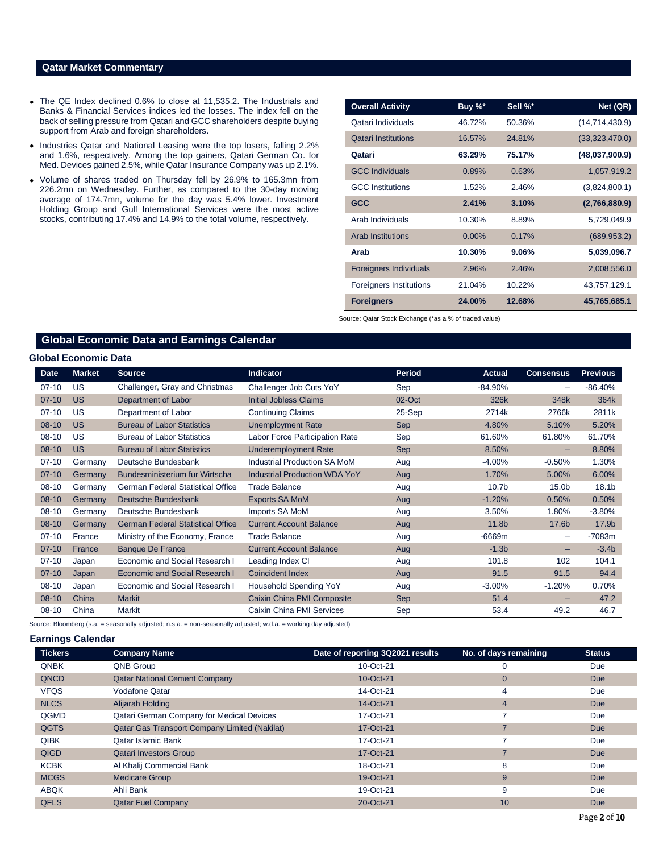### **Qatar Market Commentary**

- The QE Index declined 0.6% to close at 11,535.2. The Industrials and Banks & Financial Services indices led the losses. The index fell on the back of selling pressure from Qatari and GCC shareholders despite buying support from Arab and foreign shareholders.
- Industries Qatar and National Leasing were the top losers, falling 2.2% and 1.6%, respectively. Among the top gainers, Qatari German Co. for Med. Devices gained 2.5%, while Qatar Insurance Company was up 2.1%.
- Volume of shares traded on Thursday fell by 26.9% to 165.3mn from 226.2mn on Wednesday. Further, as compared to the 30-day moving average of 174.7mn, volume for the day was 5.4% lower. Investment Holding Group and Gulf International Services were the most active stocks, contributing 17.4% and 14.9% to the total volume, respectively.

| <b>Overall Activity</b>       | Buy %*   | Sell %* | Net (QR)         |
|-------------------------------|----------|---------|------------------|
| Qatari Individuals            | 46.72%   | 50.36%  | (14, 714, 430.9) |
| <b>Qatari Institutions</b>    | 16.57%   | 24.81%  | (33,323,470.0)   |
| Qatari                        | 63.29%   | 75.17%  | (48,037,900.9)   |
| <b>GCC Individuals</b>        | 0.89%    | 0.63%   | 1,057,919.2      |
| <b>GCC</b> Institutions       | 1.52%    | 2.46%   | (3,824,800.1)    |
| <b>GCC</b>                    | 2.41%    | 3.10%   | (2,766,880.9)    |
| Arab Individuals              | 10.30%   | 8.89%   | 5,729,049.9      |
| <b>Arab Institutions</b>      | $0.00\%$ | 0.17%   | (689, 953.2)     |
| Arab                          | 10.30%   | 9.06%   | 5,039,096.7      |
| <b>Foreigners Individuals</b> | 2.96%    | 2.46%   | 2,008,556.0      |
| Foreigners Institutions       | 21.04%   | 10.22%  | 43,757,129.1     |
| <b>Foreigners</b>             | 24.00%   | 12.68%  | 45,765,685.1     |

Source: Qatar Stock Exchange (\*as a % of traded value)

# **Global Economic Data and Earnings Calendar**

#### **Global Economic Data**

| <b>Date</b> | <b>Market</b> | <b>Source</b>                            | <b>Indicator</b>                      | <b>Period</b> | <b>Actual</b>     | <b>Consensus</b>  | <b>Previous</b> |
|-------------|---------------|------------------------------------------|---------------------------------------|---------------|-------------------|-------------------|-----------------|
| $07-10$     | US            | Challenger, Gray and Christmas           | Challenger Job Cuts YoY               | Sep           | $-84.90%$         |                   | $-86.40%$       |
| $07-10$     | <b>US</b>     | Department of Labor                      | <b>Initial Jobless Claims</b>         | 02-Oct        | 326k              | 348k              | 364k            |
| $07 - 10$   | <b>US</b>     | Department of Labor                      | <b>Continuing Claims</b>              | 25-Sep        | 2714k             | 2766k             | 2811k           |
| $08-10$     | <b>US</b>     | <b>Bureau of Labor Statistics</b>        | <b>Unemployment Rate</b>              | <b>Sep</b>    | 4.80%             | 5.10%             | 5.20%           |
| $08 - 10$   | <b>US</b>     | <b>Bureau of Labor Statistics</b>        | <b>Labor Force Participation Rate</b> | Sep           | 61.60%            | 61.80%            | 61.70%          |
| $08-10$     | <b>US</b>     | <b>Bureau of Labor Statistics</b>        | <b>Underemployment Rate</b>           | <b>Sep</b>    | 8.50%             |                   | 8.80%           |
| $07-10$     | Germany       | Deutsche Bundesbank                      | Industrial Production SA MoM          | Aug           | $-4.00%$          | $-0.50%$          | 1.30%           |
| $07-10$     | Germany       | Bundesministerium fur Wirtscha           | <b>Industrial Production WDA YoY</b>  | Aug           | 1.70%             | 5.00%             | 6.00%           |
| 08-10       | Germany       | <b>German Federal Statistical Office</b> | <b>Trade Balance</b>                  | Aug           | 10.7 <sub>b</sub> | 15.0 <sub>b</sub> | 18.1b           |
| $08-10$     | Germany       | Deutsche Bundesbank                      | <b>Exports SA MoM</b>                 | Aug           | $-1.20%$          | 0.50%             | 0.50%           |
| $08-10$     | Germany       | Deutsche Bundesbank                      | Imports SA MoM                        | Aug           | 3.50%             | 1.80%             | $-3.80%$        |
| $08-10$     | Germany       | <b>German Federal Statistical Office</b> | <b>Current Account Balance</b>        | Aug           | 11.8b             | 17.6b             | 17.9b           |
| $07-10$     | France        | Ministry of the Economy, France          | <b>Trade Balance</b>                  | Aug           | $-6669m$          | $\qquad \qquad$   | $-7083m$        |
| $07-10$     | France        | <b>Banque De France</b>                  | <b>Current Account Balance</b>        | Aug           | $-1.3b$           |                   | $-3.4b$         |
| $07-10$     | Japan         | Economic and Social Research I           | Leading Index CI                      | Aug           | 101.8             | 102               | 104.1           |
| $07-10$     | Japan         | Economic and Social Research I           | Coincident Index                      | Aug           | 91.5              | 91.5              | 94.4            |
| $08-10$     | Japan         | Economic and Social Research I           | Household Spending YoY                | Aug           | $-3.00%$          | $-1.20%$          | 0.70%           |
| $08-10$     | China         | <b>Markit</b>                            | Caixin China PMI Composite            | Sep           | 51.4              |                   | 47.2            |
| $08-10$     | China         | Markit                                   | Caixin China PMI Services             | Sep           | 53.4              | 49.2              | 46.7            |

Source: Bloomberg (s.a. = seasonally adjusted; n.s.a. = non-seasonally adjusted; w.d.a. = working day adjusted)

#### **Earnings Calendar**

| <b>Tickers</b> | <b>Company Name</b>                                  | Date of reporting 3Q2021 results | No. of days remaining | <b>Status</b> |
|----------------|------------------------------------------------------|----------------------------------|-----------------------|---------------|
| <b>QNBK</b>    | QNB Group                                            | 10-Oct-21                        | 0                     | Due           |
| QNCD           | <b>Qatar National Cement Company</b>                 | 10-Oct-21                        | $\overline{0}$        | <b>Due</b>    |
| <b>VFQS</b>    | Vodafone Qatar                                       | 14-Oct-21                        | 4                     | Due           |
| <b>NLCS</b>    | Alijarah Holding                                     | 14-Oct-21                        | 4                     | <b>Due</b>    |
| QGMD           | <b>Qatari German Company for Medical Devices</b>     | 17-Oct-21                        |                       | Due           |
| QGTS           | <b>Qatar Gas Transport Company Limited (Nakilat)</b> | 17-Oct-21                        |                       | <b>Due</b>    |
| <b>QIBK</b>    | Qatar Islamic Bank                                   | 17-Oct-21                        |                       | Due           |
| QIGD           | <b>Qatari Investors Group</b>                        | 17-Oct-21                        | ⇁                     | <b>Due</b>    |
| <b>KCBK</b>    | Al Khalij Commercial Bank                            | 18-Oct-21                        | 8                     | Due           |
| <b>MCGS</b>    | <b>Medicare Group</b>                                | 19-Oct-21                        | 9                     | <b>Due</b>    |
| <b>ABQK</b>    | Ahli Bank                                            | 19-Oct-21                        | 9                     | Due           |
| <b>QFLS</b>    | <b>Qatar Fuel Company</b>                            | 20-Oct-21                        | 10                    | <b>Due</b>    |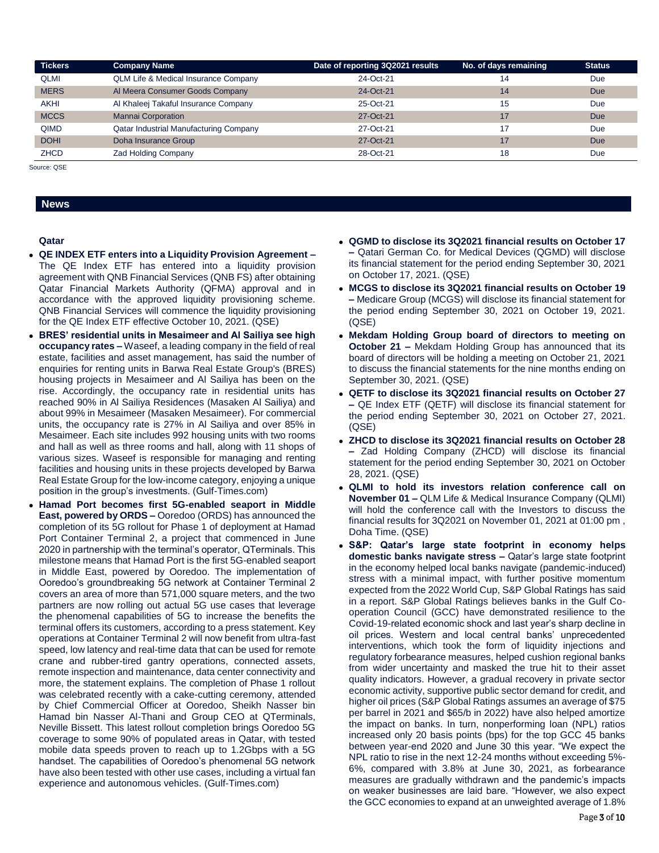| <b>Tickers</b> | <b>Company Name</b>                             | Date of reporting 3Q2021 results | No. of days remaining | Status     |
|----------------|-------------------------------------------------|----------------------------------|-----------------------|------------|
| <b>QLMI</b>    | <b>QLM Life &amp; Medical Insurance Company</b> | 24-Oct-21                        | 14                    | Due        |
| <b>MERS</b>    | Al Meera Consumer Goods Company                 | 24-Oct-21                        | 14                    | <b>Due</b> |
| <b>AKHI</b>    | Al Khaleej Takaful Insurance Company            | 25-Oct-21                        | 15                    | Due        |
| <b>MCCS</b>    | <b>Mannai Corporation</b>                       | 27-Oct-21                        | 17                    | <b>Due</b> |
| <b>QIMD</b>    | <b>Qatar Industrial Manufacturing Company</b>   | 27-Oct-21                        | 17                    | Due        |
| <b>DOHI</b>    | Doha Insurance Group                            | 27-Oct-21                        | 17                    | <b>Due</b> |
| <b>ZHCD</b>    | <b>Zad Holding Company</b>                      | 28-Oct-21                        | 18                    | Due        |

Source: QSE

# **News**

#### **Qatar**

- **QE INDEX ETF enters into a Liquidity Provision Agreement –** The QE Index ETF has entered into a liquidity provision agreement with QNB Financial Services (QNB FS) after obtaining Qatar Financial Markets Authority (QFMA) approval and in accordance with the approved liquidity provisioning scheme. QNB Financial Services will commence the liquidity provisioning for the QE Index ETF effective October 10, 2021. (QSE)
- **BRES' residential units in Mesaimeer and Al Sailiya see high occupancy rates –** Waseef, a leading company in the field of real estate, facilities and asset management, has said the number of enquiries for renting units in Barwa Real Estate Group's (BRES) housing projects in Mesaimeer and Al Sailiya has been on the rise. Accordingly, the occupancy rate in residential units has reached 90% in Al Sailiya Residences (Masaken Al Sailiya) and about 99% in Mesaimeer (Masaken Mesaimeer). For commercial units, the occupancy rate is 27% in Al Sailiya and over 85% in Mesaimeer. Each site includes 992 housing units with two rooms and hall as well as three rooms and hall, along with 11 shops of various sizes. Waseef is responsible for managing and renting facilities and housing units in these projects developed by Barwa Real Estate Group for the low-income category, enjoying a unique position in the group's investments. (Gulf-Times.com)
- **Hamad Port becomes first 5G-enabled seaport in Middle East, powered by ORDS –** Ooredoo (ORDS) has announced the completion of its 5G rollout for Phase 1 of deployment at Hamad Port Container Terminal 2, a project that commenced in June 2020 in partnership with the terminal's operator, QTerminals. This milestone means that Hamad Port is the first 5G-enabled seaport in Middle East, powered by Ooredoo. The implementation of Ooredoo's groundbreaking 5G network at Container Terminal 2 covers an area of more than 571,000 square meters, and the two partners are now rolling out actual 5G use cases that leverage the phenomenal capabilities of 5G to increase the benefits the terminal offers its customers, according to a press statement. Key operations at Container Terminal 2 will now benefit from ultra-fast speed, low latency and real-time data that can be used for remote crane and rubber-tired gantry operations, connected assets, remote inspection and maintenance, data center connectivity and more, the statement explains. The completion of Phase 1 rollout was celebrated recently with a cake-cutting ceremony, attended by Chief Commercial Officer at Ooredoo, Sheikh Nasser bin Hamad bin Nasser Al-Thani and Group CEO at QTerminals, Neville Bissett. This latest rollout completion brings Ooredoo 5G coverage to some 90% of populated areas in Qatar, with tested mobile data speeds proven to reach up to 1.2Gbps with a 5G handset. The capabilities of Ooredoo's phenomenal 5G network have also been tested with other use cases, including a virtual fan experience and autonomous vehicles. (Gulf-Times.com)
- **QGMD to disclose its 3Q2021 financial results on October 17 –** Qatari German Co. for Medical Devices (QGMD) will disclose its financial statement for the period ending September 30, 2021 on October 17, 2021. (QSE)
- **MCGS to disclose its 3Q2021 financial results on October 19 –** Medicare Group (MCGS) will disclose its financial statement for the period ending September 30, 2021 on October 19, 2021. (QSE)
- **Mekdam Holding Group board of directors to meeting on October 21 –** Mekdam Holding Group has announced that its board of directors will be holding a meeting on October 21, 2021 to discuss the financial statements for the nine months ending on September 30, 2021. (QSE)
- **QETF to disclose its 3Q2021 financial results on October 27 –** QE Index ETF (QETF) will disclose its financial statement for the period ending September 30, 2021 on October 27, 2021. (QSE)
- **ZHCD to disclose its 3Q2021 financial results on October 28 –** Zad Holding Company (ZHCD) will disclose its financial statement for the period ending September 30, 2021 on October 28, 2021. (QSE)
- **QLMI to hold its investors relation conference call on November 01 –** QLM Life & Medical Insurance Company (QLMI) will hold the conference call with the Investors to discuss the financial results for 3Q2021 on November 01, 2021 at 01:00 pm , Doha Time. (QSE)
- **S&P: Qatar's large state footprint in economy helps domestic banks navigate stress –** Qatar's large state footprint in the economy helped local banks navigate (pandemic-induced) stress with a minimal impact, with further positive momentum expected from the 2022 World Cup, S&P Global Ratings has said in a report. S&P Global Ratings believes banks in the Gulf Cooperation Council (GCC) have demonstrated resilience to the Covid-19-related economic shock and last year's sharp decline in oil prices. Western and local central banks' unprecedented interventions, which took the form of liquidity injections and regulatory forbearance measures, helped cushion regional banks from wider uncertainty and masked the true hit to their asset quality indicators. However, a gradual recovery in private sector economic activity, supportive public sector demand for credit, and higher oil prices (S&P Global Ratings assumes an average of \$75 per barrel in 2021 and \$65/b in 2022) have also helped amortize the impact on banks. In turn, nonperforming loan (NPL) ratios increased only 20 basis points (bps) for the top GCC 45 banks between year-end 2020 and June 30 this year. "We expect the NPL ratio to rise in the next 12-24 months without exceeding 5%- 6%, compared with 3.8% at June 30, 2021, as forbearance measures are gradually withdrawn and the pandemic's impacts on weaker businesses are laid bare. "However, we also expect the GCC economies to expand at an unweighted average of 1.8%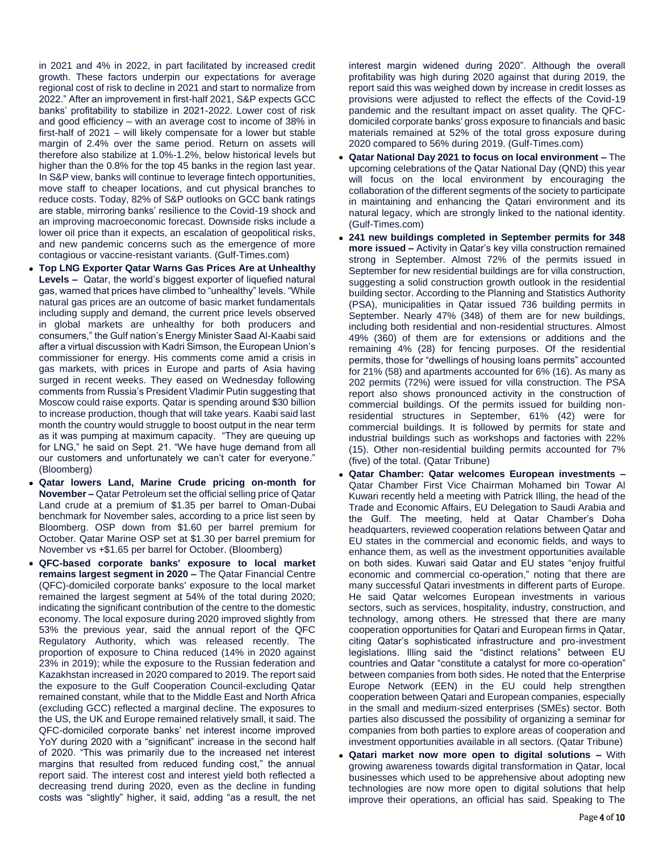in 2021 and 4% in 2022, in part facilitated by increased credit growth. These factors underpin our expectations for average regional cost of risk to decline in 2021 and start to normalize from 2022." After an improvement in first-half 2021, S&P expects GCC banks' profitability to stabilize in 2021-2022. Lower cost of risk and good efficiency – with an average cost to income of 38% in first-half of 2021 – will likely compensate for a lower but stable margin of 2.4% over the same period. Return on assets will therefore also stabilize at 1.0%-1.2%, below historical levels but higher than the 0.8% for the top 45 banks in the region last year. In S&P view, banks will continue to leverage fintech opportunities, move staff to cheaper locations, and cut physical branches to reduce costs. Today, 82% of S&P outlooks on GCC bank ratings are stable, mirroring banks' resilience to the Covid-19 shock and an improving macroeconomic forecast. Downside risks include a lower oil price than it expects, an escalation of geopolitical risks, and new pandemic concerns such as the emergence of more contagious or vaccine-resistant variants. (Gulf-Times.com)

- **Top LNG Exporter Qatar Warns Gas Prices Are at Unhealthy Levels –** Qatar, the world's biggest exporter of liquefied natural gas, warned that prices have climbed to "unhealthy" levels. "While natural gas prices are an outcome of basic market fundamentals including supply and demand, the current price levels observed in global markets are unhealthy for both producers and consumers," the Gulf nation's Energy Minister Saad Al-Kaabi said after a virtual discussion with Kadri Simson, the European Union's commissioner for energy. His comments come amid a crisis in gas markets, with prices in Europe and parts of Asia having surged in recent weeks. They eased on Wednesday following comments from Russia's President Vladimir Putin suggesting that Moscow could raise exports. Qatar is spending around \$30 billion to increase production, though that will take years. Kaabi said last month the country would struggle to boost output in the near term as it was pumping at maximum capacity. "They are queuing up for LNG," he said on Sept. 21. "We have huge demand from all our customers and unfortunately we can't cater for everyone." (Bloomberg)
- **Qatar lowers Land, Marine Crude pricing on-month for November –** Qatar Petroleum set the official selling price of Qatar Land crude at a premium of \$1.35 per barrel to Oman-Dubai benchmark for November sales, according to a price list seen by Bloomberg. OSP down from \$1.60 per barrel premium for October. Qatar Marine OSP set at \$1.30 per barrel premium for November vs +\$1.65 per barrel for October. (Bloomberg)
- **QFC-based corporate banks' exposure to local market remains largest segment in 2020 –** The Qatar Financial Centre (QFC)-domiciled corporate banks' exposure to the local market remained the largest segment at 54% of the total during 2020; indicating the significant contribution of the centre to the domestic economy. The local exposure during 2020 improved slightly from 53% the previous year, said the annual report of the QFC Regulatory Authority, which was released recently. The proportion of exposure to China reduced (14% in 2020 against 23% in 2019); while the exposure to the Russian federation and Kazakhstan increased in 2020 compared to 2019. The report said the exposure to the Gulf Cooperation Council-excluding Qatar remained constant, while that to the Middle East and North Africa (excluding GCC) reflected a marginal decline. The exposures to the US, the UK and Europe remained relatively small, it said. The QFC-domiciled corporate banks' net interest income improved YoY during 2020 with a "significant" increase in the second half of 2020. "This was primarily due to the increased net interest margins that resulted from reduced funding cost," the annual report said. The interest cost and interest yield both reflected a decreasing trend during 2020, even as the decline in funding costs was "slightly" higher, it said, adding "as a result, the net

interest margin widened during 2020". Although the overall profitability was high during 2020 against that during 2019, the report said this was weighed down by increase in credit losses as provisions were adjusted to reflect the effects of the Covid-19 pandemic and the resultant impact on asset quality. The QFCdomiciled corporate banks' gross exposure to financials and basic materials remained at 52% of the total gross exposure during 2020 compared to 56% during 2019. (Gulf-Times.com)

- **Qatar National Day 2021 to focus on local environment –** The upcoming celebrations of the Qatar National Day (QND) this year will focus on the local environment by encouraging the collaboration of the different segments of the society to participate in maintaining and enhancing the Qatari environment and its natural legacy, which are strongly linked to the national identity. (Gulf-Times.com)
- **241 new buildings completed in September permits for 348 more issued –** Activity in Qatar's key villa construction remained strong in September. Almost 72% of the permits issued in September for new residential buildings are for villa construction, suggesting a solid construction growth outlook in the residential building sector. According to the Planning and Statistics Authority (PSA), municipalities in Qatar issued 736 building permits in September. Nearly 47% (348) of them are for new buildings, including both residential and non-residential structures. Almost 49% (360) of them are for extensions or additions and the remaining 4% (28) for fencing purposes. Of the residential permits, those for "dwellings of housing loans permits" accounted for 21% (58) and apartments accounted for 6% (16). As many as 202 permits (72%) were issued for villa construction. The PSA report also shows pronounced activity in the construction of commercial buildings. Of the permits issued for building nonresidential structures in September, 61% (42) were for commercial buildings. It is followed by permits for state and industrial buildings such as workshops and factories with 22% (15). Other non-residential building permits accounted for 7% (five) of the total. (Qatar Tribune)
- **Qatar Chamber: Qatar welcomes European investments –** Qatar Chamber First Vice Chairman Mohamed bin Towar Al Kuwari recently held a meeting with Patrick Illing, the head of the Trade and Economic Affairs, EU Delegation to Saudi Arabia and the Gulf. The meeting, held at Qatar Chamber's Doha headquarters, reviewed cooperation relations between Qatar and EU states in the commercial and economic fields, and ways to enhance them, as well as the investment opportunities available on both sides. Kuwari said Qatar and EU states "enjoy fruitful economic and commercial co-operation," noting that there are many successful Qatari investments in different parts of Europe. He said Qatar welcomes European investments in various sectors, such as services, hospitality, industry, construction, and technology, among others. He stressed that there are many cooperation opportunities for Qatari and European firms in Qatar, citing Qatar's sophisticated infrastructure and pro-investment legislations. Illing said the "distinct relations" between EU countries and Qatar "constitute a catalyst for more co-operation" between companies from both sides. He noted that the Enterprise Europe Network (EEN) in the EU could help strengthen cooperation between Qatari and European companies, especially in the small and medium-sized enterprises (SMEs) sector. Both parties also discussed the possibility of organizing a seminar for companies from both parties to explore areas of cooperation and investment opportunities available in all sectors. (Qatar Tribune)
- **Qatari market now more open to digital solutions –** With growing awareness towards digital transformation in Qatar, local businesses which used to be apprehensive about adopting new technologies are now more open to digital solutions that help improve their operations, an official has said. Speaking to The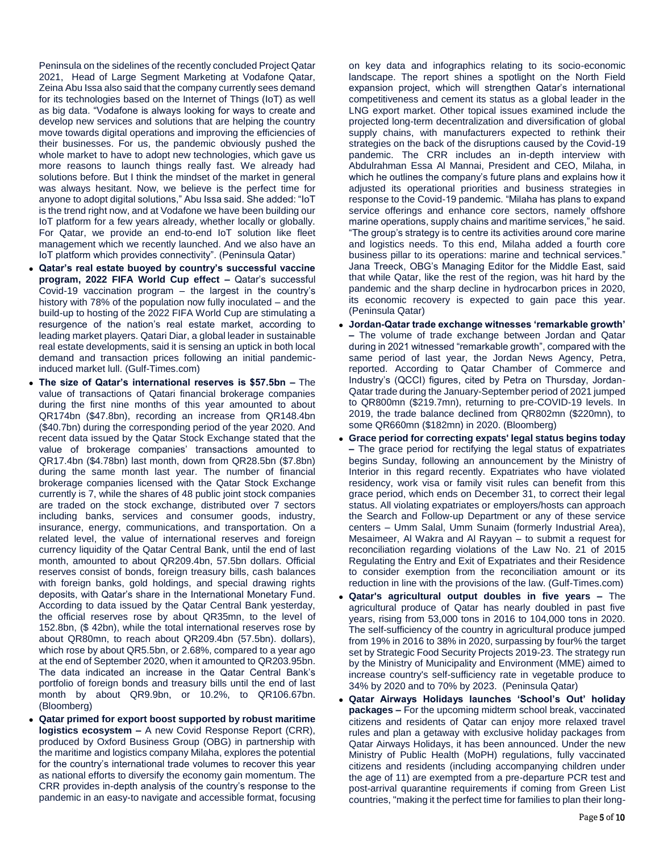Peninsula on the sidelines of the recently concluded Project Qatar 2021, Head of Large Segment Marketing at Vodafone Qatar, Zeina Abu Issa also said that the company currently sees demand for its technologies based on the Internet of Things (IoT) as well as big data. "Vodafone is always looking for ways to create and develop new services and solutions that are helping the country move towards digital operations and improving the efficiencies of their businesses. For us, the pandemic obviously pushed the whole market to have to adopt new technologies, which gave us more reasons to launch things really fast. We already had solutions before. But I think the mindset of the market in general was always hesitant. Now, we believe is the perfect time for anyone to adopt digital solutions," Abu Issa said. She added: "IoT is the trend right now, and at Vodafone we have been building our IoT platform for a few years already, whether locally or globally. For Qatar, we provide an end-to-end IoT solution like fleet management which we recently launched. And we also have an IoT platform which provides connectivity". (Peninsula Qatar)

- **Qatar's real estate buoyed by country's successful vaccine program, 2022 FIFA World Cup effect –** Qatar's successful Covid-19 vaccination program – the largest in the country's history with 78% of the population now fully inoculated – and the build-up to hosting of the 2022 FIFA World Cup are stimulating a resurgence of the nation's real estate market, according to leading market players. Qatari Diar, a global leader in sustainable real estate developments, said it is sensing an uptick in both local demand and transaction prices following an initial pandemicinduced market lull. (Gulf-Times.com)
- **The size of Qatar's international reserves is \$57.5bn –** The value of transactions of Qatari financial brokerage companies during the first nine months of this year amounted to about QR174bn (\$47.8bn), recording an increase from QR148.4bn (\$40.7bn) during the corresponding period of the year 2020. And recent data issued by the Qatar Stock Exchange stated that the value of brokerage companies' transactions amounted to QR17.4bn (\$4.78bn) last month, down from QR28.5bn (\$7.8bn) during the same month last year. The number of financial brokerage companies licensed with the Qatar Stock Exchange currently is 7, while the shares of 48 public joint stock companies are traded on the stock exchange, distributed over 7 sectors including banks, services and consumer goods, industry, insurance, energy, communications, and transportation. On a related level, the value of international reserves and foreign currency liquidity of the Qatar Central Bank, until the end of last month, amounted to about QR209.4bn, 57.5bn dollars. Official reserves consist of bonds, foreign treasury bills, cash balances with foreign banks, gold holdings, and special drawing rights deposits, with Qatar's share in the International Monetary Fund. According to data issued by the Qatar Central Bank yesterday, the official reserves rose by about QR35mn, to the level of 152.8bn, (\$ 42bn), while the total international reserves rose by about QR80mn, to reach about QR209.4bn (57.5bn). dollars), which rose by about QR5.5bn, or 2.68%, compared to a year ago at the end of September 2020, when it amounted to QR203.95bn. The data indicated an increase in the Qatar Central Bank's portfolio of foreign bonds and treasury bills until the end of last month by about QR9.9bn, or 10.2%, to QR106.67bn. (Bloomberg)
- **Qatar primed for export boost supported by robust maritime logistics ecosystem –** A new Covid Response Report (CRR), produced by Oxford Business Group (OBG) in partnership with the maritime and logistics company Milaha, explores the potential for the country's international trade volumes to recover this year as national efforts to diversify the economy gain momentum. The CRR provides in-depth analysis of the country's response to the pandemic in an easy-to navigate and accessible format, focusing

on key data and infographics relating to its socio-economic landscape. The report shines a spotlight on the North Field expansion project, which will strengthen Qatar's international competitiveness and cement its status as a global leader in the LNG export market. Other topical issues examined include the projected long-term decentralization and diversification of global supply chains, with manufacturers expected to rethink their strategies on the back of the disruptions caused by the Covid-19 pandemic. The CRR includes an in-depth interview with Abdulrahman Essa Al Mannai, President and CEO, Milaha, in which he outlines the company's future plans and explains how it adjusted its operational priorities and business strategies in response to the Covid-19 pandemic. "Milaha has plans to expand service offerings and enhance core sectors, namely offshore marine operations, supply chains and maritime services," he said. "The group's strategy is to centre its activities around core marine and logistics needs. To this end, Milaha added a fourth core business pillar to its operations: marine and technical services." Jana Treeck, OBG's Managing Editor for the Middle East, said that while Qatar, like the rest of the region, was hit hard by the pandemic and the sharp decline in hydrocarbon prices in 2020, its economic recovery is expected to gain pace this year. (Peninsula Qatar)

- **Jordan-Qatar trade exchange witnesses 'remarkable growth' –** The volume of trade exchange between Jordan and Qatar during in 2021 witnessed "remarkable growth", compared with the same period of last year, the Jordan News Agency, Petra, reported. According to Qatar Chamber of Commerce and Industry's (QCCI) figures, cited by Petra on Thursday, Jordan-Qatar trade during the January-September period of 2021 jumped to QR800mn (\$219.7mn), returning to pre-COVID-19 levels. In 2019, the trade balance declined from QR802mn (\$220mn), to some QR660mn (\$182mn) in 2020. (Bloomberg)
- **Grace period for correcting expats' legal status begins today –** The grace period for rectifying the legal status of expatriates begins Sunday, following an announcement by the Ministry of Interior in this regard recently. Expatriates who have violated residency, work visa or family visit rules can benefit from this grace period, which ends on December 31, to correct their legal status. All violating expatriates or employers/hosts can approach the Search and Follow-up Department or any of these service centers – Umm Salal, Umm Sunaim (formerly Industrial Area), Mesaimeer, Al Wakra and Al Rayyan – to submit a request for reconciliation regarding violations of the Law No. 21 of 2015 Regulating the Entry and Exit of Expatriates and their Residence to consider exemption from the reconciliation amount or its reduction in line with the provisions of the law. (Gulf-Times.com)
- **Qatar's agricultural output doubles in five years –** The agricultural produce of Qatar has nearly doubled in past five years, rising from 53,000 tons in 2016 to 104,000 tons in 2020. The self-sufficiency of the country in agricultural produce jumped from 19% in 2016 to 38% in 2020, surpassing by four% the target set by Strategic Food Security Projects 2019-23. The strategy run by the Ministry of Municipality and Environment (MME) aimed to increase country's self-sufficiency rate in vegetable produce to 34% by 2020 and to 70% by 2023. (Peninsula Qatar)
- **Qatar Airways Holidays launches 'School's Out' holiday packages –** For the upcoming midterm school break, vaccinated citizens and residents of Qatar can enjoy more relaxed travel rules and plan a getaway with exclusive holiday packages from Qatar Airways Holidays, it has been announced. Under the new Ministry of Public Health (MoPH) regulations, fully vaccinated citizens and residents (including accompanying children under the age of 11) are exempted from a pre-departure PCR test and post-arrival quarantine requirements if coming from Green List countries, "making it the perfect time for families to plan their long-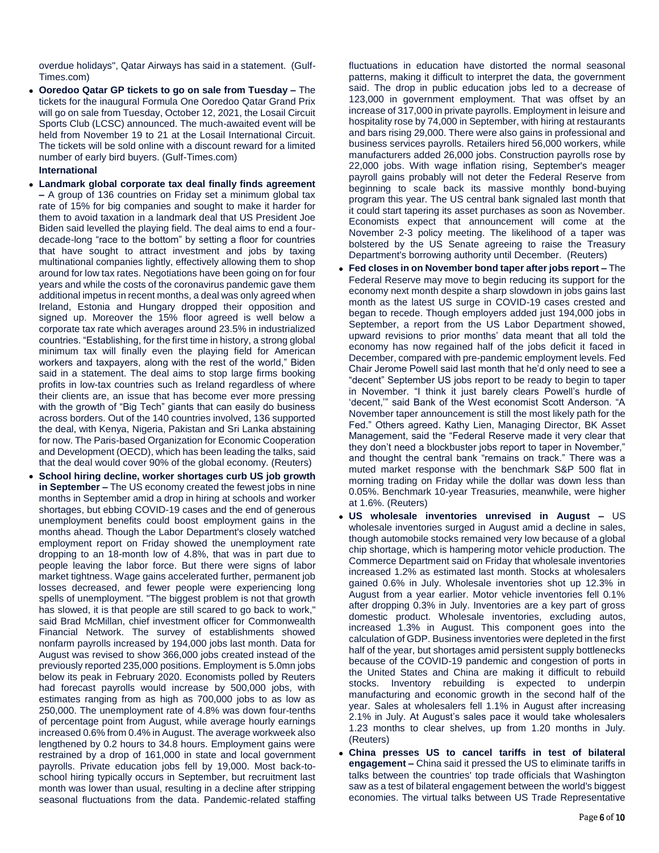overdue holidays", Qatar Airways has said in a statement. (Gulf-Times.com)

 **Ooredoo Qatar GP tickets to go on sale from Tuesday –** The tickets for the inaugural Formula One Ooredoo Qatar Grand Prix will go on sale from Tuesday, October 12, 2021, the Losail Circuit Sports Club (LCSC) announced. The much-awaited event will be held from November 19 to 21 at the Losail International Circuit. The tickets will be sold online with a discount reward for a limited number of early bird buyers. (Gulf-Times.com)

### **International**

- **Landmark global corporate tax deal finally finds agreement –** A group of 136 countries on Friday set a minimum global tax rate of 15% for big companies and sought to make it harder for them to avoid taxation in a landmark deal that US President Joe Biden said levelled the playing field. The deal aims to end a fourdecade-long "race to the bottom" by setting a floor for countries that have sought to attract investment and jobs by taxing multinational companies lightly, effectively allowing them to shop around for low tax rates. Negotiations have been going on for four years and while the costs of the coronavirus pandemic gave them additional impetus in recent months, a deal was only agreed when Ireland, Estonia and Hungary dropped their opposition and signed up. Moreover the 15% floor agreed is well below a corporate tax rate which averages around 23.5% in industrialized countries. "Establishing, for the first time in history, a strong global minimum tax will finally even the playing field for American workers and taxpayers, along with the rest of the world," Biden said in a statement. The deal aims to stop large firms booking profits in low-tax countries such as Ireland regardless of where their clients are, an issue that has become ever more pressing with the growth of "Big Tech" giants that can easily do business across borders. Out of the 140 countries involved, 136 supported the deal, with Kenya, Nigeria, Pakistan and Sri Lanka abstaining for now. The Paris-based Organization for Economic Cooperation and Development (OECD), which has been leading the talks, said that the deal would cover 90% of the global economy. (Reuters)
- **School hiring decline, worker shortages curb US job growth in September –** The US economy created the fewest jobs in nine months in September amid a drop in hiring at schools and worker shortages, but ebbing COVID-19 cases and the end of generous unemployment benefits could boost employment gains in the months ahead. Though the Labor Department's closely watched employment report on Friday showed the unemployment rate dropping to an 18-month low of 4.8%, that was in part due to people leaving the labor force. But there were signs of labor market tightness. Wage gains accelerated further, permanent job losses decreased, and fewer people were experiencing long spells of unemployment. "The biggest problem is not that growth has slowed, it is that people are still scared to go back to work," said Brad McMillan, chief investment officer for Commonwealth Financial Network. The survey of establishments showed nonfarm payrolls increased by 194,000 jobs last month. Data for August was revised to show 366,000 jobs created instead of the previously reported 235,000 positions. Employment is 5.0mn jobs below its peak in February 2020. Economists polled by Reuters had forecast payrolls would increase by 500,000 jobs, with estimates ranging from as high as 700,000 jobs to as low as 250,000. The unemployment rate of 4.8% was down four-tenths of percentage point from August, while average hourly earnings increased 0.6% from 0.4% in August. The average workweek also lengthened by 0.2 hours to 34.8 hours. Employment gains were restrained by a drop of 161,000 in state and local government payrolls. Private education jobs fell by 19,000. Most back-toschool hiring typically occurs in September, but recruitment last month was lower than usual, resulting in a decline after stripping seasonal fluctuations from the data. Pandemic-related staffing

fluctuations in education have distorted the normal seasonal patterns, making it difficult to interpret the data, the government said. The drop in public education jobs led to a decrease of 123,000 in government employment. That was offset by an increase of 317,000 in private payrolls. Employment in leisure and hospitality rose by 74,000 in September, with hiring at restaurants and bars rising 29,000. There were also gains in professional and business services payrolls. Retailers hired 56,000 workers, while manufacturers added 26,000 jobs. Construction payrolls rose by 22,000 jobs. With wage inflation rising, September's meager payroll gains probably will not deter the Federal Reserve from beginning to scale back its massive monthly bond-buying program this year. The US central bank signaled last month that it could start tapering its asset purchases as soon as November. Economists expect that announcement will come at the November 2-3 policy meeting. The likelihood of a taper was bolstered by the US Senate agreeing to raise the Treasury Department's borrowing authority until December. (Reuters)

- **Fed closes in on November bond taper after jobs report –** The Federal Reserve may move to begin reducing its support for the economy next month despite a sharp slowdown in jobs gains last month as the latest US surge in COVID-19 cases crested and began to recede. Though employers added just 194,000 jobs in September, a report from the US Labor Department showed, upward revisions to prior months' data meant that all told the economy has now regained half of the jobs deficit it faced in December, compared with pre-pandemic employment levels. Fed Chair Jerome Powell said last month that he'd only need to see a "decent" September US jobs report to be ready to begin to taper in November. "I think it just barely clears Powell's hurdle of 'decent,'" said Bank of the West economist Scott Anderson. "A November taper announcement is still the most likely path for the Fed." Others agreed. Kathy Lien, Managing Director, BK Asset Management, said the "Federal Reserve made it very clear that they don't need a blockbuster jobs report to taper in November," and thought the central bank "remains on track." There was a muted market response with the benchmark S&P 500 flat in morning trading on Friday while the dollar was down less than 0.05%. Benchmark 10-year Treasuries, meanwhile, were higher at 1.6%. (Reuters)
- **US wholesale inventories unrevised in August –** US wholesale inventories surged in August amid a decline in sales, though automobile stocks remained very low because of a global chip shortage, which is hampering motor vehicle production. The Commerce Department said on Friday that wholesale inventories increased 1.2% as estimated last month. Stocks at wholesalers gained 0.6% in July. Wholesale inventories shot up 12.3% in August from a year earlier. Motor vehicle inventories fell 0.1% after dropping 0.3% in July. Inventories are a key part of gross domestic product. Wholesale inventories, excluding autos, increased 1.3% in August. This component goes into the calculation of GDP. Business inventories were depleted in the first half of the year, but shortages amid persistent supply bottlenecks because of the COVID-19 pandemic and congestion of ports in the United States and China are making it difficult to rebuild stocks. Inventory rebuilding is expected to underpin manufacturing and economic growth in the second half of the year. Sales at wholesalers fell 1.1% in August after increasing 2.1% in July. At August's sales pace it would take wholesalers 1.23 months to clear shelves, up from 1.20 months in July. (Reuters)
- **China presses US to cancel tariffs in test of bilateral engagement –** China said it pressed the US to eliminate tariffs in talks between the countries' top trade officials that Washington saw as a test of bilateral engagement between the world's biggest economies. The virtual talks between US Trade Representative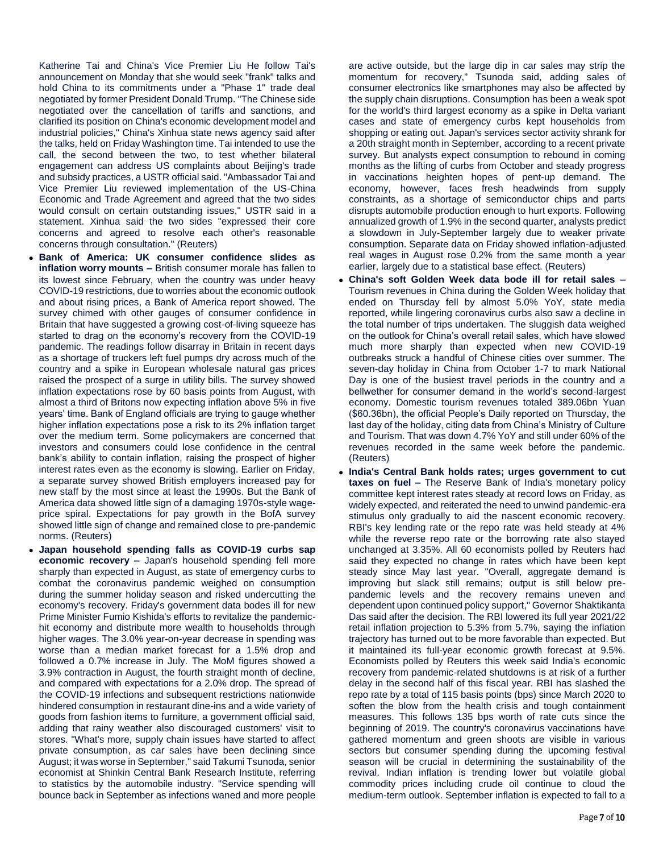Katherine Tai and China's Vice Premier Liu He follow Tai's announcement on Monday that she would seek "frank" talks and hold China to its commitments under a "Phase 1" trade deal negotiated by former President Donald Trump. "The Chinese side negotiated over the cancellation of tariffs and sanctions, and clarified its position on China's economic development model and industrial policies," China's Xinhua state news agency said after the talks, held on Friday Washington time. Tai intended to use the call, the second between the two, to test whether bilateral engagement can address US complaints about Beijing's trade and subsidy practices, a USTR official said. "Ambassador Tai and Vice Premier Liu reviewed implementation of the US-China Economic and Trade Agreement and agreed that the two sides would consult on certain outstanding issues," USTR said in a statement. Xinhua said the two sides "expressed their core concerns and agreed to resolve each other's reasonable concerns through consultation." (Reuters)

- **Bank of America: UK consumer confidence slides as inflation worry mounts –** British consumer morale has fallen to its lowest since February, when the country was under heavy COVID-19 restrictions, due to worries about the economic outlook and about rising prices, a Bank of America report showed. The survey chimed with other gauges of consumer confidence in Britain that have suggested a growing cost-of-living squeeze has started to drag on the economy's recovery from the COVID-19 pandemic. The readings follow disarray in Britain in recent days as a shortage of truckers left fuel pumps dry across much of the country and a spike in European wholesale natural gas prices raised the prospect of a surge in utility bills. The survey showed inflation expectations rose by 60 basis points from August, with almost a third of Britons now expecting inflation above 5% in five years' time. Bank of England officials are trying to gauge whether higher inflation expectations pose a risk to its 2% inflation target over the medium term. Some policymakers are concerned that investors and consumers could lose confidence in the central bank's ability to contain inflation, raising the prospect of higher interest rates even as the economy is slowing. Earlier on Friday, a separate survey showed British employers increased pay for new staff by the most since at least the 1990s. But the Bank of America data showed little sign of a damaging 1970s-style wageprice spiral. Expectations for pay growth in the BofA survey showed little sign of change and remained close to pre-pandemic norms. (Reuters)
- **Japan household spending falls as COVID-19 curbs sap economic recovery –** Japan's household spending fell more sharply than expected in August, as state of emergency curbs to combat the coronavirus pandemic weighed on consumption during the summer holiday season and risked undercutting the economy's recovery. Friday's government data bodes ill for new Prime Minister Fumio Kishida's efforts to revitalize the pandemichit economy and distribute more wealth to households through higher wages. The 3.0% year-on-year decrease in spending was worse than a median market forecast for a 1.5% drop and followed a 0.7% increase in July. The MoM figures showed a 3.9% contraction in August, the fourth straight month of decline, and compared with expectations for a 2.0% drop. The spread of the COVID-19 infections and subsequent restrictions nationwide hindered consumption in restaurant dine-ins and a wide variety of goods from fashion items to furniture, a government official said, adding that rainy weather also discouraged customers' visit to stores. "What's more, supply chain issues have started to affect private consumption, as car sales have been declining since August; it was worse in September," said Takumi Tsunoda, senior economist at Shinkin Central Bank Research Institute, referring to statistics by the automobile industry. "Service spending will bounce back in September as infections waned and more people

are active outside, but the large dip in car sales may strip the momentum for recovery," Tsunoda said, adding sales of consumer electronics like smartphones may also be affected by the supply chain disruptions. Consumption has been a weak spot for the world's third largest economy as a spike in Delta variant cases and state of emergency curbs kept households from shopping or eating out. Japan's services sector activity shrank for a 20th straight month in September, according to a recent private survey. But analysts expect consumption to rebound in coming months as the lifting of curbs from October and steady progress in vaccinations heighten hopes of pent-up demand. The economy, however, faces fresh headwinds from supply constraints, as a shortage of semiconductor chips and parts disrupts automobile production enough to hurt exports. Following annualized growth of 1.9% in the second quarter, analysts predict a slowdown in July-September largely due to weaker private consumption. Separate data on Friday showed inflation-adjusted real wages in August rose 0.2% from the same month a year earlier, largely due to a statistical base effect. (Reuters)

- **China's soft Golden Week data bode ill for retail sales –** Tourism revenues in China during the Golden Week holiday that ended on Thursday fell by almost 5.0% YoY, state media reported, while lingering coronavirus curbs also saw a decline in the total number of trips undertaken. The sluggish data weighed on the outlook for China's overall retail sales, which have slowed much more sharply than expected when new COVID-19 outbreaks struck a handful of Chinese cities over summer. The seven-day holiday in China from October 1-7 to mark National Day is one of the busiest travel periods in the country and a bellwether for consumer demand in the world's second-largest economy. Domestic tourism revenues totaled 389.06bn Yuan (\$60.36bn), the official People's Daily reported on Thursday, the last day of the holiday, citing data from China's Ministry of Culture and Tourism. That was down 4.7% YoY and still under 60% of the revenues recorded in the same week before the pandemic. (Reuters)
- **India's Central Bank holds rates; urges government to cut taxes on fuel –** The Reserve Bank of India's monetary policy committee kept interest rates steady at record lows on Friday, as widely expected, and reiterated the need to unwind pandemic-era stimulus only gradually to aid the nascent economic recovery. RBI's key lending rate or the repo rate was held steady at 4% while the reverse repo rate or the borrowing rate also stayed unchanged at 3.35%. All 60 economists polled by Reuters had said they expected no change in rates which have been kept steady since May last year. "Overall, aggregate demand is improving but slack still remains; output is still below prepandemic levels and the recovery remains uneven and dependent upon continued policy support," Governor Shaktikanta Das said after the decision. The RBI lowered its full year 2021/22 retail inflation projection to 5.3% from 5.7%, saying the inflation trajectory has turned out to be more favorable than expected. But it maintained its full-year economic growth forecast at 9.5%. Economists polled by Reuters this week said India's economic recovery from pandemic-related shutdowns is at risk of a further delay in the second half of this fiscal year. RBI has slashed the repo rate by a total of 115 basis points (bps) since March 2020 to soften the blow from the health crisis and tough containment measures. This follows 135 bps worth of rate cuts since the beginning of 2019. The country's coronavirus vaccinations have gathered momentum and green shoots are visible in various sectors but consumer spending during the upcoming festival season will be crucial in determining the sustainability of the revival. Indian inflation is trending lower but volatile global commodity prices including crude oil continue to cloud the medium-term outlook. September inflation is expected to fall to a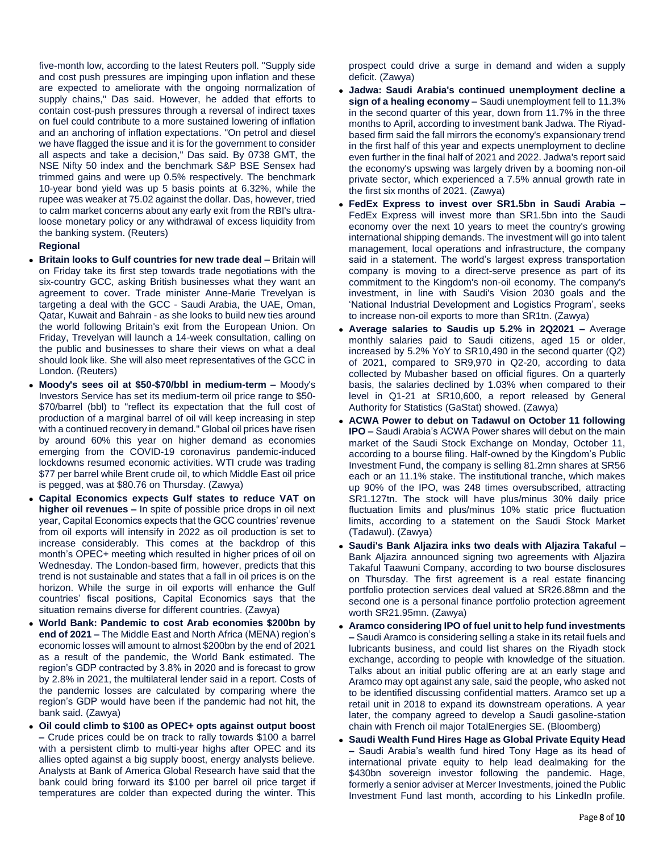five-month low, according to the latest Reuters poll. "Supply side and cost push pressures are impinging upon inflation and these are expected to ameliorate with the ongoing normalization of supply chains," Das said. However, he added that efforts to contain cost-push pressures through a reversal of indirect taxes on fuel could contribute to a more sustained lowering of inflation and an anchoring of inflation expectations. "On petrol and diesel we have flagged the issue and it is for the government to consider all aspects and take a decision," Das said. By 0738 GMT, the NSE Nifty 50 index and the benchmark S&P BSE Sensex had trimmed gains and were up 0.5% respectively. The benchmark 10-year bond yield was up 5 basis points at 6.32%, while the rupee was weaker at 75.02 against the dollar. Das, however, tried to calm market concerns about any early exit from the RBI's ultraloose monetary policy or any withdrawal of excess liquidity from the banking system. (Reuters)

### **Regional**

- **Britain looks to Gulf countries for new trade deal –** Britain will on Friday take its first step towards trade negotiations with the six-country GCC, asking British businesses what they want an agreement to cover. Trade minister Anne-Marie Trevelyan is targeting a deal with the GCC - Saudi Arabia, the UAE, Oman, Qatar, Kuwait and Bahrain - as she looks to build new ties around the world following Britain's exit from the European Union. On Friday, Trevelyan will launch a 14-week consultation, calling on the public and businesses to share their views on what a deal should look like. She will also meet representatives of the GCC in London. (Reuters)
- **Moody's sees oil at \$50-\$70/bbl in medium-term –** Moody's Investors Service has set its medium-term oil price range to \$50- \$70/barrel (bbl) to "reflect its expectation that the full cost of production of a marginal barrel of oil will keep increasing in step with a continued recovery in demand." Global oil prices have risen by around 60% this year on higher demand as economies emerging from the COVID-19 coronavirus pandemic-induced lockdowns resumed economic activities. WTI crude was trading \$77 per barrel while Brent crude oil, to which Middle East oil price is pegged, was at \$80.76 on Thursday. (Zawya)
- **Capital Economics expects Gulf states to reduce VAT on higher oil revenues –** In spite of possible price drops in oil next year, Capital Economics expects that the GCC countries' revenue from oil exports will intensify in 2022 as oil production is set to increase considerably. This comes at the backdrop of this month's OPEC+ meeting which resulted in higher prices of oil on Wednesday. The London-based firm, however, predicts that this trend is not sustainable and states that a fall in oil prices is on the horizon. While the surge in oil exports will enhance the Gulf countries' fiscal positions, Capital Economics says that the situation remains diverse for different countries. (Zawya)
- **World Bank: Pandemic to cost Arab economies \$200bn by end of 2021 –** The Middle East and North Africa (MENA) region's economic losses will amount to almost \$200bn by the end of 2021 as a result of the pandemic, the World Bank estimated. The region's GDP contracted by 3.8% in 2020 and is forecast to grow by 2.8% in 2021, the multilateral lender said in a report. Costs of the pandemic losses are calculated by comparing where the region's GDP would have been if the pandemic had not hit, the bank said. (Zawya)
- **Oil could climb to \$100 as OPEC+ opts against output boost –** Crude prices could be on track to rally towards \$100 a barrel with a persistent climb to multi-year highs after OPEC and its allies opted against a big supply boost, energy analysts believe. Analysts at Bank of America Global Research have said that the bank could bring forward its \$100 per barrel oil price target if temperatures are colder than expected during the winter. This

prospect could drive a surge in demand and widen a supply deficit. (Zawya)

- **Jadwa: Saudi Arabia's continued unemployment decline a sign of a healing economy –** Saudi unemployment fell to 11.3% in the second quarter of this year, down from 11.7% in the three months to April, according to investment bank Jadwa. The Riyadbased firm said the fall mirrors the economy's expansionary trend in the first half of this year and expects unemployment to decline even further in the final half of 2021 and 2022. Jadwa's report said the economy's upswing was largely driven by a booming non-oil private sector, which experienced a 7.5% annual growth rate in the first six months of 2021. (Zawya)
- **FedEx Express to invest over SR1.5bn in Saudi Arabia –** FedEx Express will invest more than SR1.5bn into the Saudi economy over the next 10 years to meet the country's growing international shipping demands. The investment will go into talent management, local operations and infrastructure, the company said in a statement. The world's largest express transportation company is moving to a direct-serve presence as part of its commitment to the Kingdom's non-oil economy. The company's investment, in line with Saudi's Vision 2030 goals and the 'National Industrial Development and Logistics Program', seeks to increase non-oil exports to more than SR1tn. (Zawya)
- **Average salaries to Saudis up 5.2% in 2Q2021 –** Average monthly salaries paid to Saudi citizens, aged 15 or older, increased by 5.2% YoY to SR10,490 in the second quarter (Q2) of 2021, compared to SR9,970 in Q2-20, according to data collected by Mubasher based on official figures. On a quarterly basis, the salaries declined by 1.03% when compared to their level in Q1-21 at SR10,600, a report released by General Authority for Statistics (GaStat) showed. (Zawya)
- **ACWA Power to debut on Tadawul on October 11 following IPO –** Saudi Arabia's ACWA Power shares will debut on the main market of the Saudi Stock Exchange on Monday, October 11, according to a bourse filing. Half-owned by the Kingdom's Public Investment Fund, the company is selling 81.2mn shares at SR56 each or an 11.1% stake. The institutional tranche, which makes up 90% of the IPO, was 248 times oversubscribed, attracting SR1.127tn. The stock will have plus/minus 30% daily price fluctuation limits and plus/minus 10% static price fluctuation limits, according to a statement on the Saudi Stock Market (Tadawul). (Zawya)
- **Saudi's Bank Aljazira inks two deals with Aljazira Takaful –** Bank Aljazira announced signing two agreements with Aljazira Takaful Taawuni Company, according to two bourse disclosures on Thursday. The first agreement is a real estate financing portfolio protection services deal valued at SR26.88mn and the second one is a personal finance portfolio protection agreement worth SR21.95mn. (Zawya)
- **Aramco considering IPO of fuel unit to help fund investments –** Saudi Aramco is considering selling a stake in its retail fuels and lubricants business, and could list shares on the Riyadh stock exchange, according to people with knowledge of the situation. Talks about an initial public offering are at an early stage and Aramco may opt against any sale, said the people, who asked not to be identified discussing confidential matters. Aramco set up a retail unit in 2018 to expand its downstream operations. A year later, the company agreed to develop a Saudi gasoline-station chain with French oil major TotalEnergies SE. (Bloomberg)
- **Saudi Wealth Fund Hires Hage as Global Private Equity Head –** Saudi Arabia's wealth fund hired Tony Hage as its head of international private equity to help lead dealmaking for the \$430bn sovereign investor following the pandemic. Hage, formerly a senior adviser at Mercer Investments, joined the Public Investment Fund last month, according to his LinkedIn profile.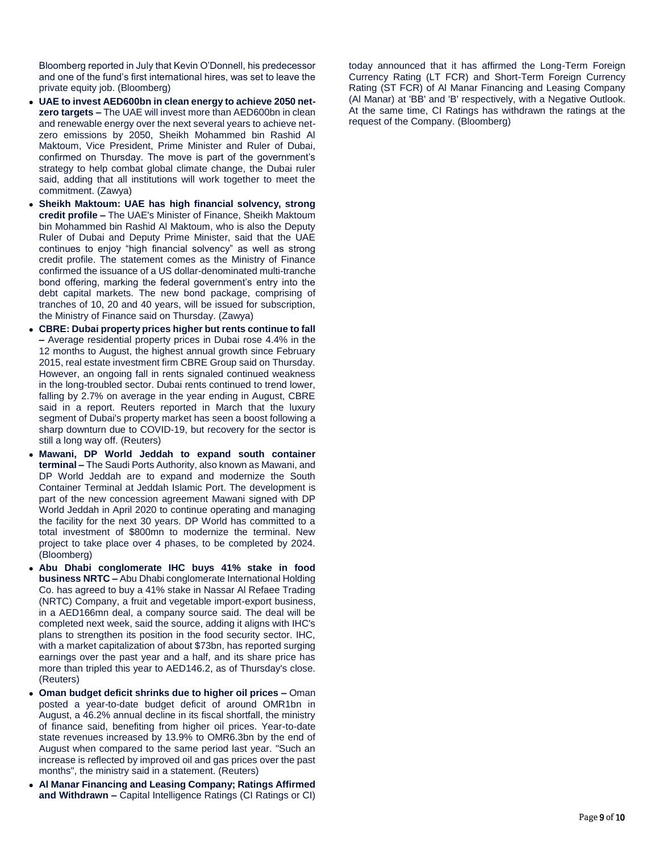Bloomberg reported in July that Kevin O'Donnell, his predecessor and one of the fund's first international hires, was set to leave the private equity job. (Bloomberg)

- **UAE to invest AED600bn in clean energy to achieve 2050 netzero targets –** The UAE will invest more than AED600bn in clean and renewable energy over the next several years to achieve netzero emissions by 2050, Sheikh Mohammed bin Rashid Al Maktoum, Vice President, Prime Minister and Ruler of Dubai, confirmed on Thursday. The move is part of the government's strategy to help combat global climate change, the Dubai ruler said, adding that all institutions will work together to meet the commitment. (Zawya)
- **Sheikh Maktoum: UAE has high financial solvency, strong credit profile –** The UAE's Minister of Finance, Sheikh Maktoum bin Mohammed bin Rashid Al Maktoum, who is also the Deputy Ruler of Dubai and Deputy Prime Minister, said that the UAE continues to enjoy "high financial solvency" as well as strong credit profile. The statement comes as the Ministry of Finance confirmed the issuance of a US dollar-denominated multi-tranche bond offering, marking the federal government's entry into the debt capital markets. The new bond package, comprising of tranches of 10, 20 and 40 years, will be issued for subscription, the Ministry of Finance said on Thursday. (Zawya)
- **CBRE: Dubai property prices higher but rents continue to fall –** Average residential property prices in Dubai rose 4.4% in the 12 months to August, the highest annual growth since February 2015, real estate investment firm CBRE Group said on Thursday. However, an ongoing fall in rents signaled continued weakness in the long-troubled sector. Dubai rents continued to trend lower, falling by 2.7% on average in the year ending in August, CBRE said in a report. Reuters reported in March that the luxury segment of Dubai's property market has seen a boost following a sharp downturn due to COVID-19, but recovery for the sector is still a long way off. (Reuters)
- **Mawani, DP World Jeddah to expand south container terminal –** The Saudi Ports Authority, also known as Mawani, and DP World Jeddah are to expand and modernize the South Container Terminal at Jeddah Islamic Port. The development is part of the new concession agreement Mawani signed with DP World Jeddah in April 2020 to continue operating and managing the facility for the next 30 years. DP World has committed to a total investment of \$800mn to modernize the terminal. New project to take place over 4 phases, to be completed by 2024. (Bloomberg)
- **Abu Dhabi conglomerate IHC buys 41% stake in food business NRTC –** Abu Dhabi conglomerate International Holding Co. has agreed to buy a 41% stake in Nassar Al Refaee Trading (NRTC) Company, a fruit and vegetable import-export business, in a AED166mn deal, a company source said. The deal will be completed next week, said the source, adding it aligns with IHC's plans to strengthen its position in the food security sector. IHC, with a market capitalization of about \$73bn, has reported surging earnings over the past year and a half, and its share price has more than tripled this year to AED146.2, as of Thursday's close. (Reuters)
- **Oman budget deficit shrinks due to higher oil prices –** Oman posted a year-to-date budget deficit of around OMR1bn in August, a 46.2% annual decline in its fiscal shortfall, the ministry of finance said, benefiting from higher oil prices. Year-to-date state revenues increased by 13.9% to OMR6.3bn by the end of August when compared to the same period last year. "Such an increase is reflected by improved oil and gas prices over the past months", the ministry said in a statement. (Reuters)
- **Al Manar Financing and Leasing Company; Ratings Affirmed and Withdrawn –** Capital Intelligence Ratings (CI Ratings or CI)

today announced that it has affirmed the Long-Term Foreign Currency Rating (LT FCR) and Short-Term Foreign Currency Rating (ST FCR) of Al Manar Financing and Leasing Company (Al Manar) at 'BB' and 'B' respectively, with a Negative Outlook. At the same time, CI Ratings has withdrawn the ratings at the request of the Company. (Bloomberg)